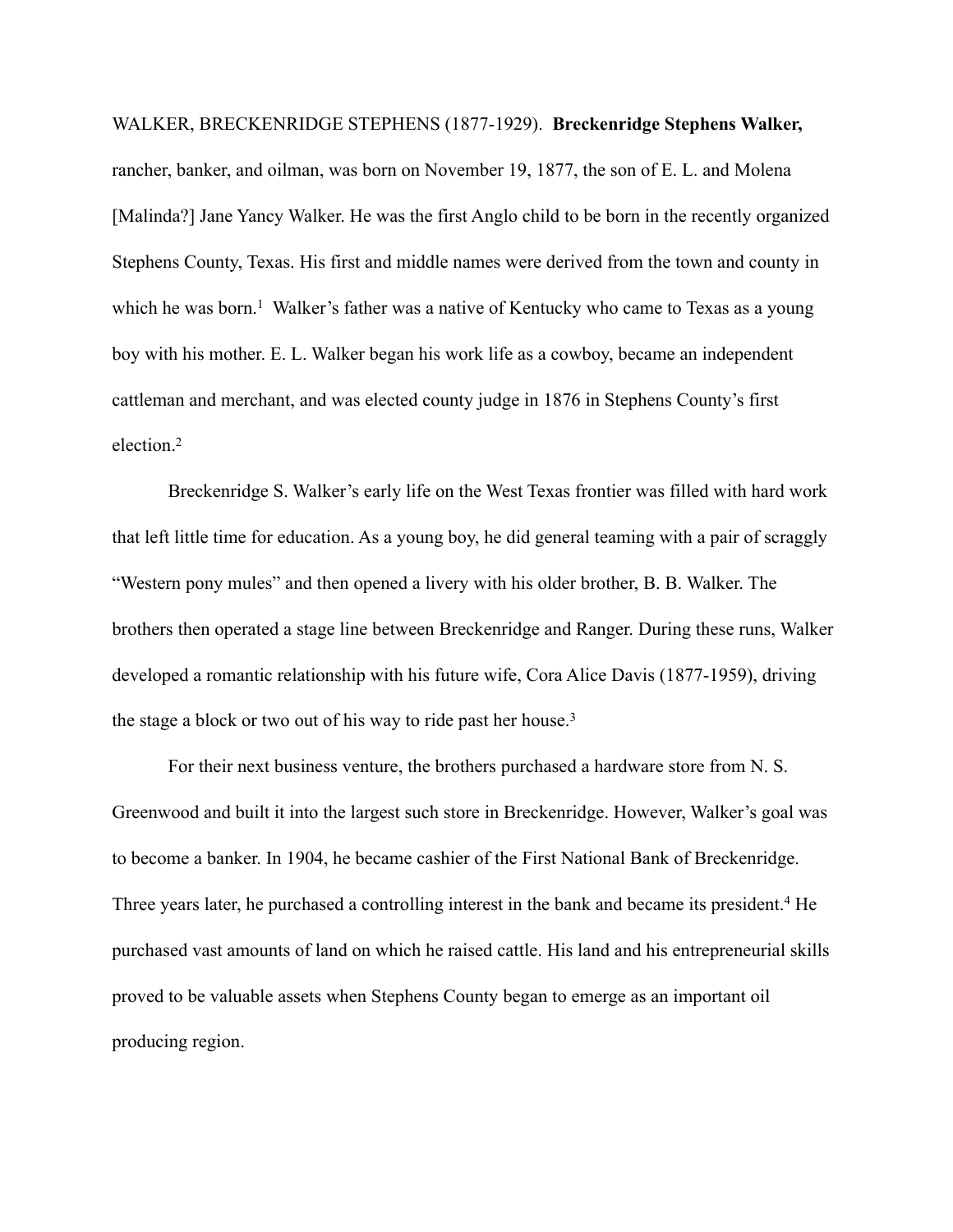WALKER, BRECKENRIDGE STEPHENS (1877-1929). **Breckenridge Stephens Walker,**  rancher, banker, and oilman, was born on November 19, 1877, the son of E. L. and Molena [Malinda?] Jane Yancy Walker. He was the first Anglo child to be born in the recently organized Stephens County, Texas. His first and middle names were derived from the town and county in which he was born.<sup>1</sup> Walker's father was a native of Kentucky who came to Texas as a young boy with his mother. E. L. Walker began his work life as a cowboy, became an independent cattleman and merchant, and was elected county judge in 1876 in Stephens County's first election.2

 Breckenridge S. Walker's early life on the West Texas frontier was filled with hard work that left little time for education. As a young boy, he did general teaming with a pair of scraggly "Western pony mules" and then opened a livery with his older brother, B. B. Walker. The brothers then operated a stage line between Breckenridge and Ranger. During these runs, Walker developed a romantic relationship with his future wife, Cora Alice Davis (1877-1959), driving the stage a block or two out of his way to ride past her house.<sup>3</sup>

 For their next business venture, the brothers purchased a hardware store from N. S. Greenwood and built it into the largest such store in Breckenridge. However, Walker's goal was to become a banker. In 1904, he became cashier of the First National Bank of Breckenridge. Three years later, he purchased a controlling interest in the bank and became its president.<sup>4</sup> He purchased vast amounts of land on which he raised cattle. His land and his entrepreneurial skills proved to be valuable assets when Stephens County began to emerge as an important oil producing region.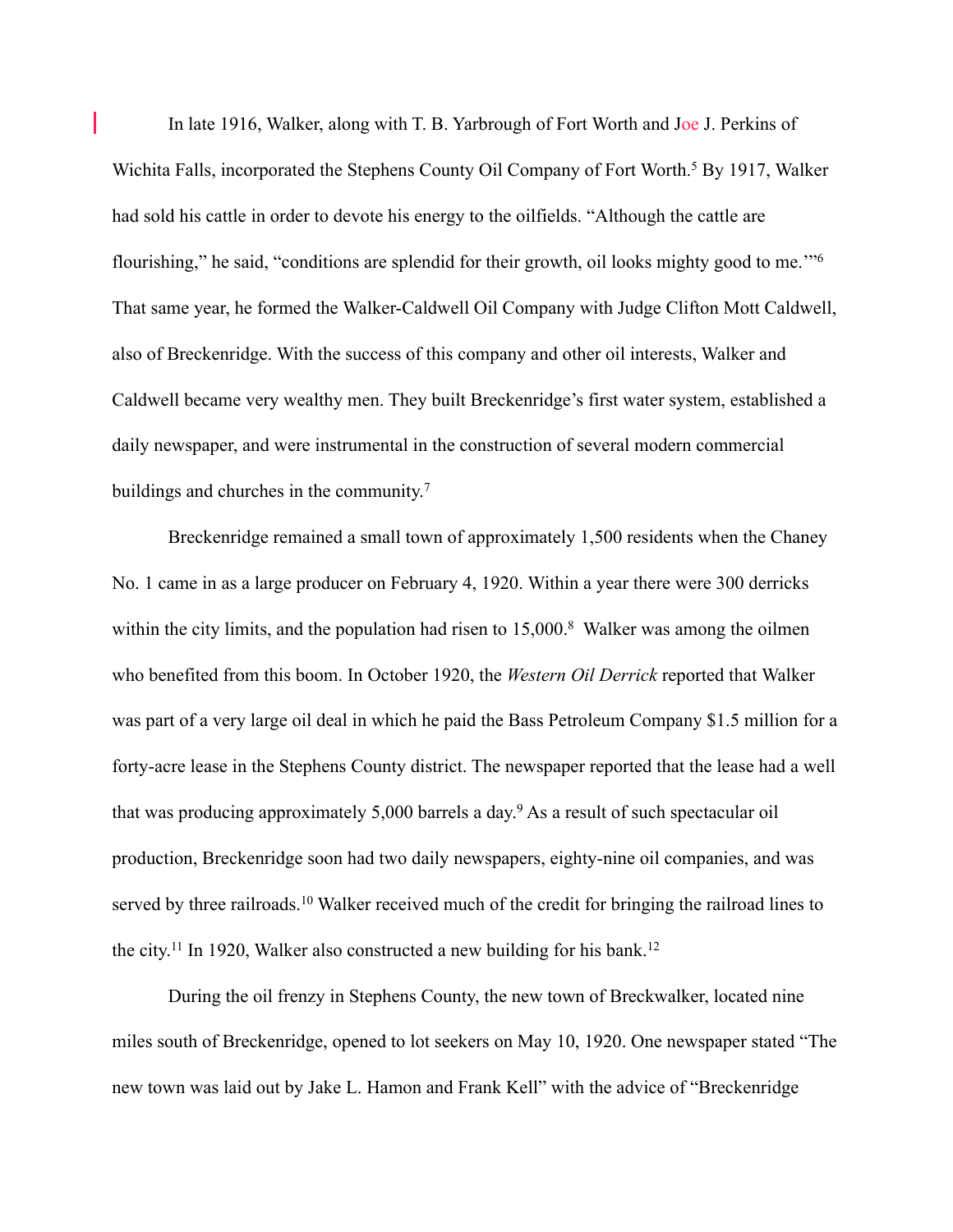In late 1916, Walker, along with T. B. Yarbrough of Fort Worth and Joe J. Perkins of Wichita Falls, incorporated the Stephens County Oil Company of Fort Worth.<sup>5</sup> By 1917, Walker had sold his cattle in order to devote his energy to the oilfields. "Although the cattle are flourishing," he said, "conditions are splendid for their growth, oil looks mighty good to me."<sup>6</sup> That same year, he formed the Walker-Caldwell Oil Company with Judge Clifton Mott Caldwell, also of Breckenridge. With the success of this company and other oil interests, Walker and Caldwell became very wealthy men. They built Breckenridge's first water system, established a daily newspaper, and were instrumental in the construction of several modern commercial buildings and churches in the community.7

L

 Breckenridge remained a small town of approximately 1,500 residents when the Chaney No. 1 came in as a large producer on February 4, 1920. Within a year there were 300 derricks within the city limits, and the population had risen to  $15,000$ .<sup>8</sup> Walker was among the oilmen who benefited from this boom. In October 1920, the *Western Oil Derrick* reported that Walker was part of a very large oil deal in which he paid the Bass Petroleum Company \$1.5 million for a forty-acre lease in the Stephens County district. The newspaper reported that the lease had a well that was producing approximately  $5,000$  barrels a day.<sup>9</sup> As a result of such spectacular oil production, Breckenridge soon had two daily newspapers, eighty-nine oil companies, and was served by three railroads.<sup>10</sup> Walker received much of the credit for bringing the railroad lines to the city.<sup>11</sup> In 1920, Walker also constructed a new building for his bank.<sup>12</sup>

 During the oil frenzy in Stephens County, the new town of Breckwalker, located nine miles south of Breckenridge, opened to lot seekers on May 10, 1920. One newspaper stated "The new town was laid out by Jake L. Hamon and Frank Kell" with the advice of "Breckenridge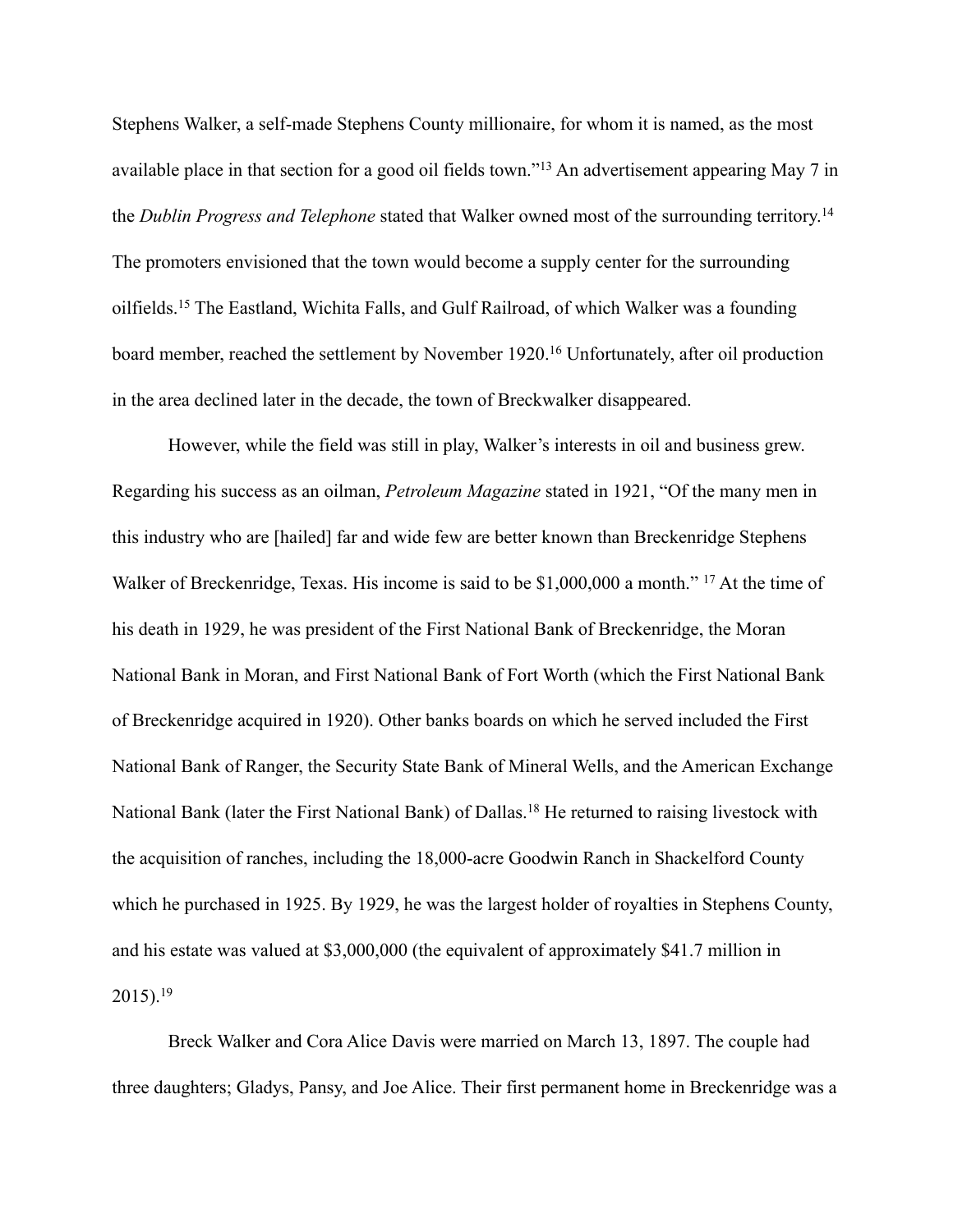Stephens Walker, a self-made Stephens County millionaire, for whom it is named, as the most available place in that section for a good oil fields town."<sup>13</sup> An advertisement appearing May 7 in the *Dublin Progress and Telephone* stated that Walker owned most of the surrounding territory.14 The promoters envisioned that the town would become a supply center for the surrounding oilfields.<sup>15</sup> The Eastland, Wichita Falls, and Gulf Railroad, of which Walker was a founding board member, reached the settlement by November 1920.<sup>16</sup> Unfortunately, after oil production in the area declined later in the decade, the town of Breckwalker disappeared.

 However, while the field was still in play, Walker's interests in oil and business grew. Regarding his success as an oilman, *Petroleum Magazine* stated in 1921, "Of the many men in this industry who are [hailed] far and wide few are better known than Breckenridge Stephens Walker of Breckenridge, Texas. His income is said to be  $$1,000,000$  a month." <sup>17</sup> At the time of his death in 1929, he was president of the First National Bank of Breckenridge, the Moran National Bank in Moran, and First National Bank of Fort Worth (which the First National Bank of Breckenridge acquired in 1920). Other banks boards on which he served included the First National Bank of Ranger, the Security State Bank of Mineral Wells, and the American Exchange National Bank (later the First National Bank) of Dallas.<sup>18</sup> He returned to raising livestock with the acquisition of ranches, including the 18,000-acre Goodwin Ranch in Shackelford County which he purchased in 1925. By 1929, he was the largest holder of royalties in Stephens County, and his estate was valued at \$3,000,000 (the equivalent of approximately \$41.7 million in  $2015$ ).<sup>19</sup>

 Breck Walker and Cora Alice Davis were married on March 13, 1897. The couple had three daughters; Gladys, Pansy, and Joe Alice. Their first permanent home in Breckenridge was a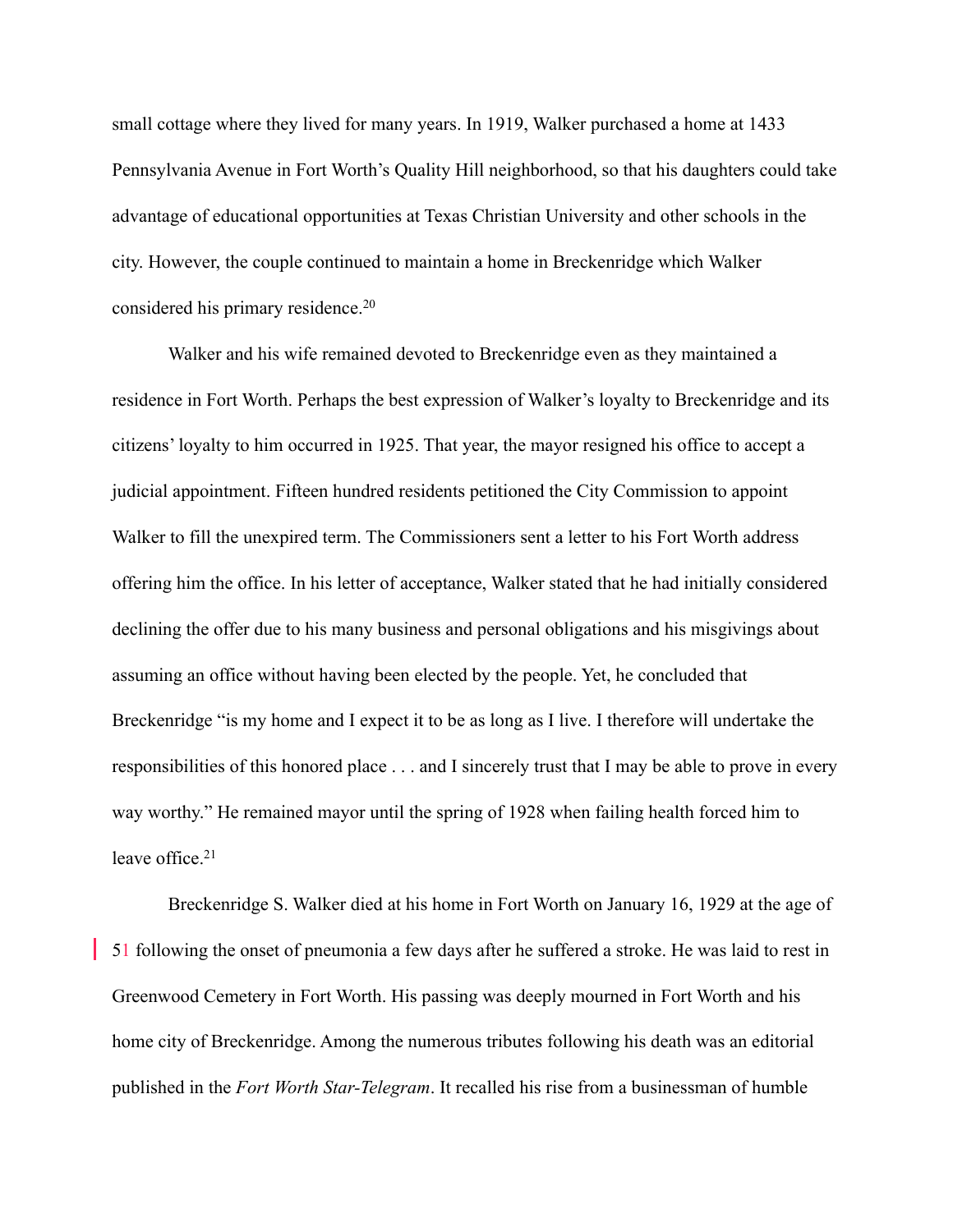small cottage where they lived for many years. In 1919, Walker purchased a home at 1433 Pennsylvania Avenue in Fort Worth's Quality Hill neighborhood, so that his daughters could take advantage of educational opportunities at Texas Christian University and other schools in the city. However, the couple continued to maintain a home in Breckenridge which Walker considered his primary residence.20

Walker and his wife remained devoted to Breckenridge even as they maintained a residence in Fort Worth. Perhaps the best expression of Walker's loyalty to Breckenridge and its citizens' loyalty to him occurred in 1925. That year, the mayor resigned his office to accept a judicial appointment. Fifteen hundred residents petitioned the City Commission to appoint Walker to fill the unexpired term. The Commissioners sent a letter to his Fort Worth address offering him the office. In his letter of acceptance, Walker stated that he had initially considered declining the offer due to his many business and personal obligations and his misgivings about assuming an office without having been elected by the people. Yet, he concluded that Breckenridge "is my home and I expect it to be as long as I live. I therefore will undertake the responsibilities of this honored place . . . and I sincerely trust that I may be able to prove in every way worthy." He remained mayor until the spring of 1928 when failing health forced him to leave office.<sup>21</sup>

 Breckenridge S. Walker died at his home in Fort Worth on January 16, 1929 at the age of 51 following the onset of pneumonia a few days after he suffered a stroke. He was laid to rest in Greenwood Cemetery in Fort Worth. His passing was deeply mourned in Fort Worth and his home city of Breckenridge. Among the numerous tributes following his death was an editorial published in the *Fort Worth Star-Telegram*. It recalled his rise from a businessman of humble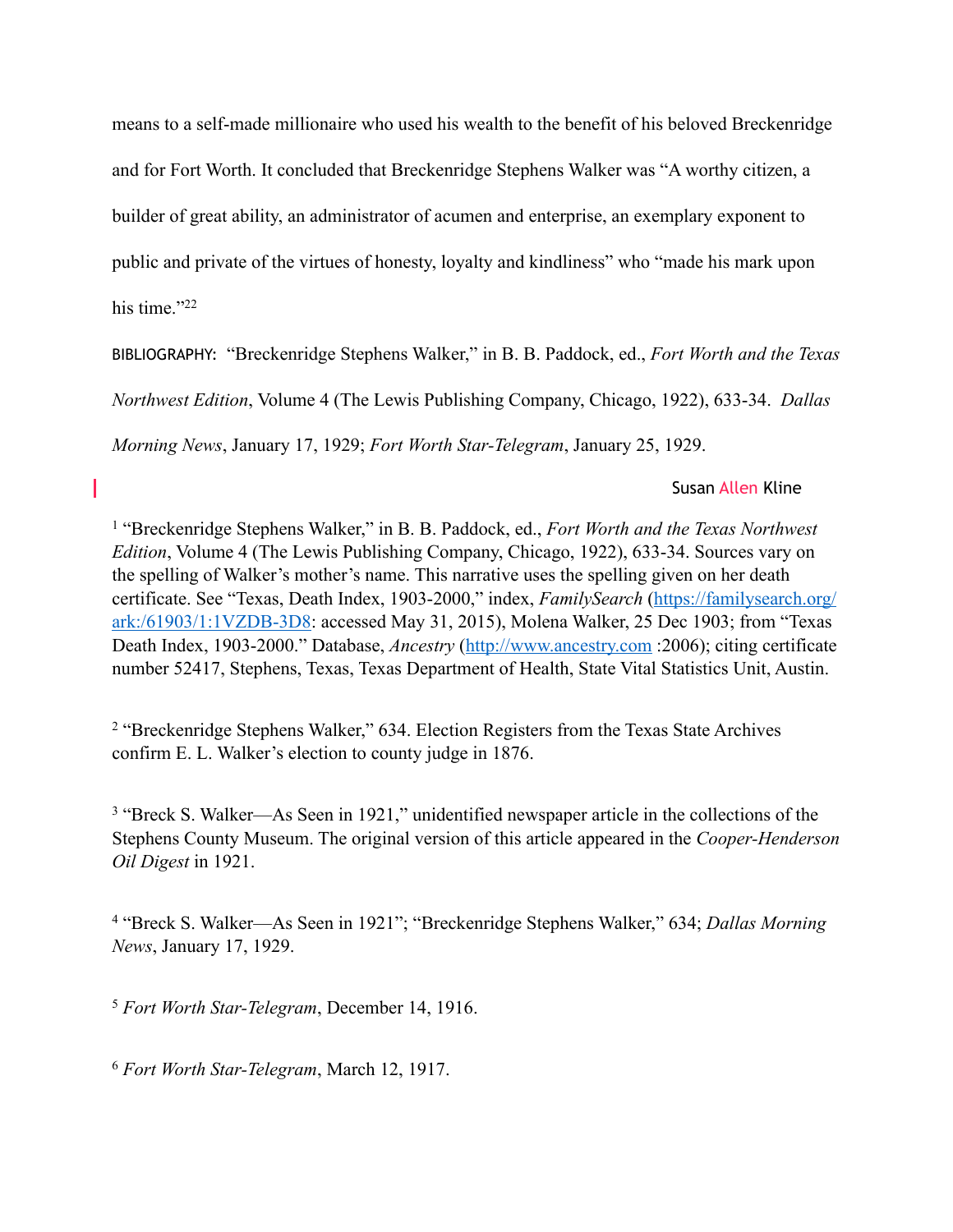means to a self-made millionaire who used his wealth to the benefit of his beloved Breckenridge and for Fort Worth. It concluded that Breckenridge Stephens Walker was "A worthy citizen, a builder of great ability, an administrator of acumen and enterprise, an exemplary exponent to public and private of the virtues of honesty, loyalty and kindliness" who "made his mark upon his time."22

BIBLIOGRAPHY: "Breckenridge Stephens Walker," in B. B. Paddock, ed., *Fort Worth and the Texas Northwest Edition*, Volume 4 (The Lewis Publishing Company, Chicago, 1922), 633-34. *Dallas Morning News*, January 17, 1929; *Fort Worth Star-Telegram*, January 25, 1929.

## Susan Allen Kline

<sup>1</sup> "Breckenridge Stephens Walker," in B. B. Paddock, ed., *Fort Worth and the Texas Northwest Edition*, Volume 4 (The Lewis Publishing Company, Chicago, 1922), 633-34. Sources vary on the spelling of Walker's mother's name. This narrative uses the spelling given on her death certificate. See "Texas, Death Index, 1903-2000," index, *FamilySearch* (https://familysearch.org/ [ark:/61903/1:1VZDB-3D8: accessed May 31, 2015\), Molena Walker, 25 Dec 1903; from "Texas](https://familysearch.org/ark:/61903/1:1VZDB-3D8)  Death Index, 1903-2000." Database, *Ancestry* [\(http://www.ancestry.com](http://www.ancestry.com) :2006); citing certificate number 52417, Stephens, Texas, Texas Department of Health, State Vital Statistics Unit, Austin.

<sup>2</sup> "Breckenridge Stephens Walker," 634. Election Registers from the Texas State Archives confirm E. L. Walker's election to county judge in 1876.

<sup>3</sup> "Breck S. Walker—As Seen in 1921," unidentified newspaper article in the collections of the Stephens County Museum. The original version of this article appeared in the *Cooper-Henderson Oil Digest* in 1921.

 "Breck S. Walker—As Seen in 1921"; "Breckenridge Stephens Walker," 634; *Dallas Morning* <sup>4</sup> *News*, January 17, 1929.

<sup>5</sup> Fort Worth Star-Telegram, December 14, 1916.

<sup>6</sup> Fort Worth Star-Telegram, March 12, 1917.

L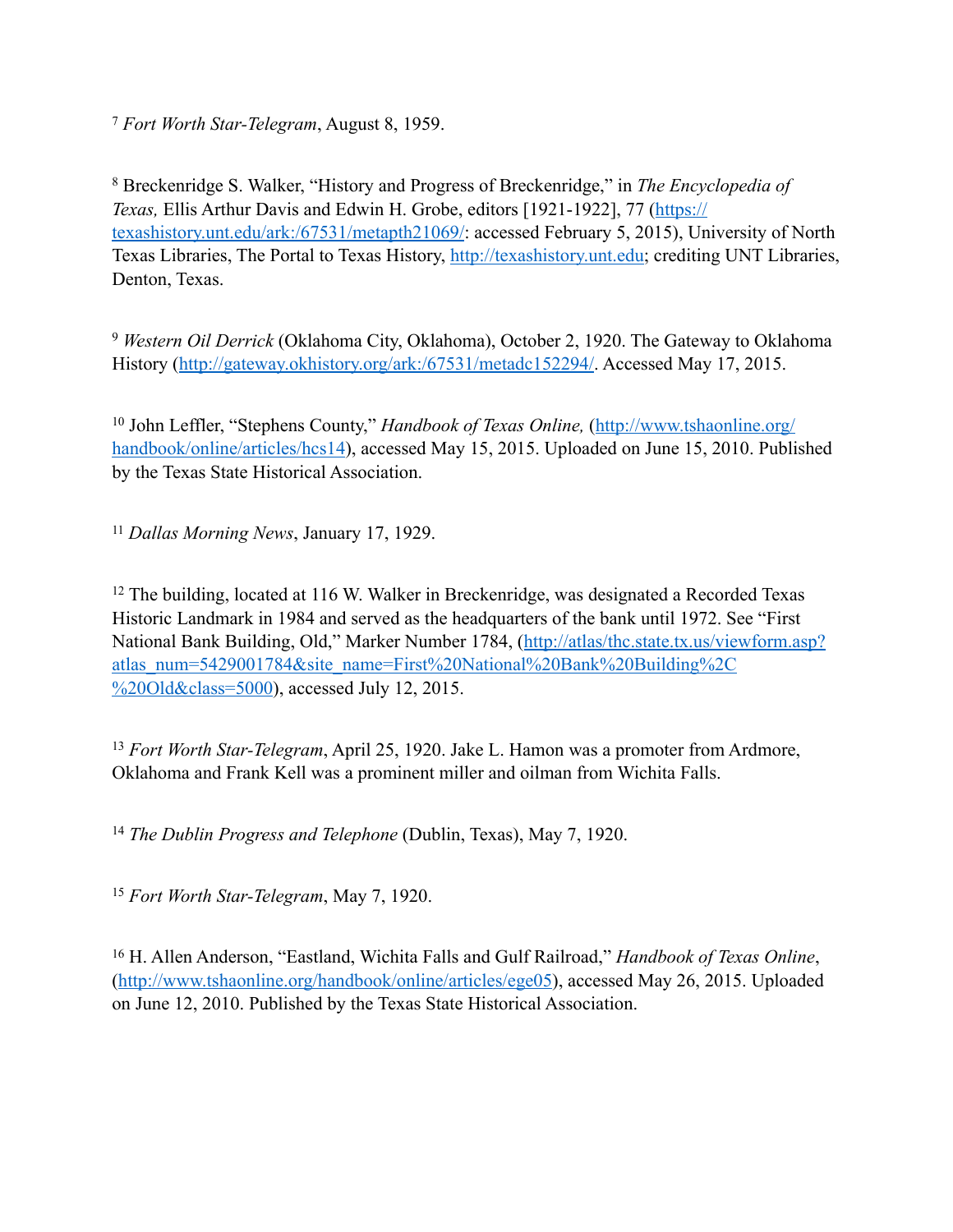*Fort Worth Star-Telegram*, August 8, 1959. <sup>7</sup>

 Breckenridge S. Walker, "History and Progress of Breckenridge," in *The Encyclopedia of* <sup>8</sup> *Texas,* Ellis Arthur Davis and Edwin H. Grobe, editors [1921-1922], 77 (https:// [texashistory.unt.edu/ark:/67531/metapth21069/: accessed February 5, 2015\), Un](https://texashistory.unt.edu/ark:/67531/metapth21069/)iversity of North Texas Libraries, The Portal to Texas History, [http://texashistory.unt.edu;](http://texashistory.unt.edu) crediting UNT Libraries, Denton, Texas.

<sup>9</sup> Western Oil Derrick (Oklahoma City, Oklahoma), October 2, 1920. The Gateway to Oklahoma History ([http://gateway.okhistory.org/ark:/67531/metadc152294/.](http://gateway.okhistory.org/ark:/67531/metadc152294/) Accessed May 17, 2015.

<sup>10</sup> John Leffler, "Stephens County," *Handbook of Texas Online*, (http://www.tshaonline.org/ [handbook/online/articles/hcs14\), accessed May 15, 2015. Uploaded on June 15, 2010. Publi](http://www.tshaonline.org/handbook/online/articles/hcs14)shed by the Texas State Historical Association.

<sup>11</sup> Dallas Morning News, January 17, 1929.

<sup>12</sup> The building, located at 116 W. Walker in Breckenridge, was designated a Recorded Texas Historic Landmark in 1984 and served as the headquarters of the bank until 1972. See "First [National Bank Building, Old," Marker Number 1784, \(http://atlas/thc.state.tx.us/viewform.asp?](http://atlas/thc.state.tx.us/viewform.asp?atlas_num=5429001784&site_name=First%2520National%2520Bank%2520Building%252C%2520Old&class=5000) atlas\_num=5429001784&site\_name=First%20National%20Bank%20Building%2C %20Old&class=5000), accessed July 12, 2015.

<sup>13</sup> Fort Worth Star-Telegram, April 25, 1920. Jake L. Hamon was a promoter from Ardmore, Oklahoma and Frank Kell was a prominent miller and oilman from Wichita Falls.

<sup>14</sup> The Dublin Progress and Telephone (Dublin, Texas), May 7, 1920.

<sup>15</sup> Fort Worth Star-Telegram, May 7, 1920.

<sup>16</sup> H. Allen Anderson, "Eastland, Wichita Falls and Gulf Railroad," *Handbook of Texas Online*, ([http://www.tshaonline.org/handbook/online/articles/ege05\)](http://www.tshaonline.org/handbook/online/articles/ege05), accessed May 26, 2015. Uploaded on June 12, 2010. Published by the Texas State Historical Association.